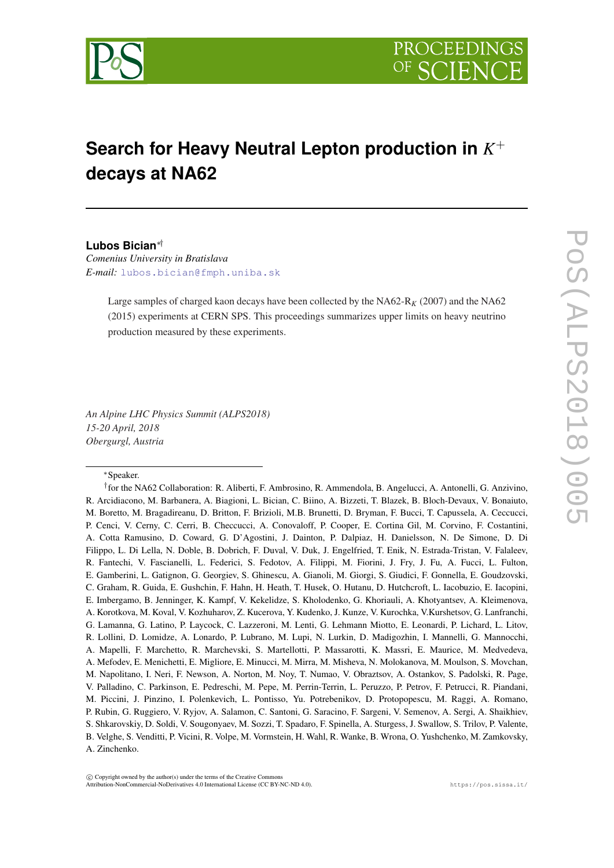

# **Search for Heavy Neutral Lepton production in** *K* + **decays at NA62**

**Lubos Bician**∗†

*Comenius University in Bratislava E-mail:* [lubos.bician@fmph.uniba.sk](mailto:lubos.bician@fmph.uniba.sk)

> Large samples of charged kaon decays have been collected by the NA62-R*<sup>K</sup>* (2007) and the NA62 (2015) experiments at CERN SPS. This proceedings summarizes upper limits on heavy neutrino production measured by these experiments.

*An Alpine LHC Physics Summit (ALPS2018) 15-20 April, 2018 Obergurgl, Austria*

#### <sup>∗</sup>Speaker.

<sup>†</sup> for the NA62 Collaboration: R. Aliberti, F. Ambrosino, R. Ammendola, B. Angelucci, A. Antonelli, G. Anzivino, R. Arcidiacono, M. Barbanera, A. Biagioni, L. Bician, C. Biino, A. Bizzeti, T. Blazek, B. Bloch-Devaux, V. Bonaiuto, M. Boretto, M. Bragadireanu, D. Britton, F. Brizioli, M.B. Brunetti, D. Bryman, F. Bucci, T. Capussela, A. Ceccucci, P. Cenci, V. Cerny, C. Cerri, B. Checcucci, A. Conovaloff, P. Cooper, E. Cortina Gil, M. Corvino, F. Costantini, A. Cotta Ramusino, D. Coward, G. D'Agostini, J. Dainton, P. Dalpiaz, H. Danielsson, N. De Simone, D. Di Filippo, L. Di Lella, N. Doble, B. Dobrich, F. Duval, V. Duk, J. Engelfried, T. Enik, N. Estrada-Tristan, V. Falaleev, R. Fantechi, V. Fascianelli, L. Federici, S. Fedotov, A. Filippi, M. Fiorini, J. Fry, J. Fu, A. Fucci, L. Fulton, E. Gamberini, L. Gatignon, G. Georgiev, S. Ghinescu, A. Gianoli, M. Giorgi, S. Giudici, F. Gonnella, E. Goudzovski, C. Graham, R. Guida, E. Gushchin, F. Hahn, H. Heath, T. Husek, O. Hutanu, D. Hutchcroft, L. Iacobuzio, E. Iacopini, E. Imbergamo, B. Jenninger, K. Kampf, V. Kekelidze, S. Kholodenko, G. Khoriauli, A. Khotyantsev, A. Kleimenova, A. Korotkova, M. Koval, V. Kozhuharov, Z. Kucerova, Y. Kudenko, J. Kunze, V. Kurochka, V.Kurshetsov, G. Lanfranchi, G. Lamanna, G. Latino, P. Laycock, C. Lazzeroni, M. Lenti, G. Lehmann Miotto, E. Leonardi, P. Lichard, L. Litov, R. Lollini, D. Lomidze, A. Lonardo, P. Lubrano, M. Lupi, N. Lurkin, D. Madigozhin, I. Mannelli, G. Mannocchi, A. Mapelli, F. Marchetto, R. Marchevski, S. Martellotti, P. Massarotti, K. Massri, E. Maurice, M. Medvedeva, A. Mefodev, E. Menichetti, E. Migliore, E. Minucci, M. Mirra, M. Misheva, N. Molokanova, M. Moulson, S. Movchan, M. Napolitano, I. Neri, F. Newson, A. Norton, M. Noy, T. Numao, V. Obraztsov, A. Ostankov, S. Padolski, R. Page, V. Palladino, C. Parkinson, E. Pedreschi, M. Pepe, M. Perrin-Terrin, L. Peruzzo, P. Petrov, F. Petrucci, R. Piandani, M. Piccini, J. Pinzino, I. Polenkevich, L. Pontisso, Yu. Potrebenikov, D. Protopopescu, M. Raggi, A. Romano, P. Rubin, G. Ruggiero, V. Ryjov, A. Salamon, C. Santoni, G. Saracino, F. Sargeni, V. Semenov, A. Sergi, A. Shaikhiev, S. Shkarovskiy, D. Soldi, V. Sougonyaev, M. Sozzi, T. Spadaro, F. Spinella, A. Sturgess, J. Swallow, S. Trilov, P. Valente, B. Velghe, S. Venditti, P. Vicini, R. Volpe, M. Vormstein, H. Wahl, R. Wanke, B. Wrona, O. Yushchenko, M. Zamkovsky, A. Zinchenko.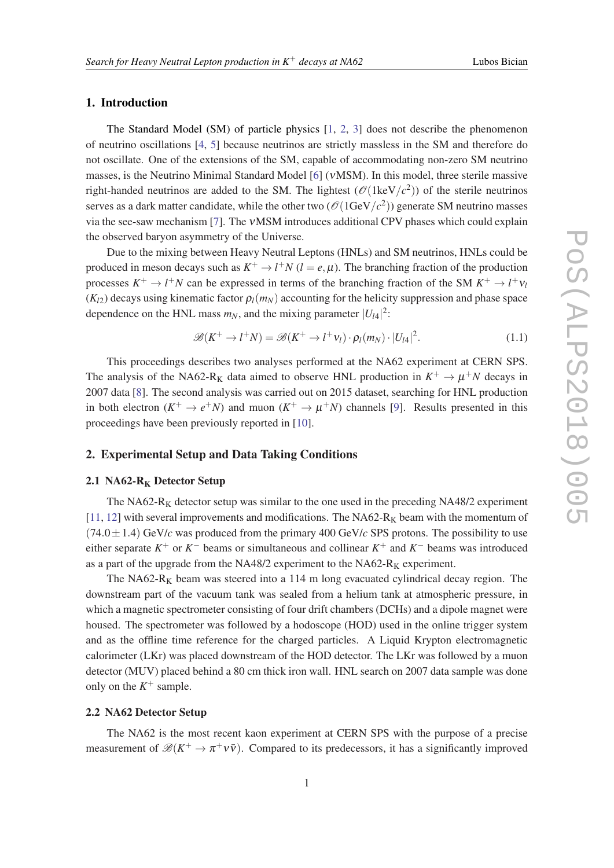# <span id="page-1-0"></span>1. Introduction

The Standard Model (SM) of particle physics [[1](#page-4-0), [2,](#page-4-0) [3\]](#page-4-0) does not describe the phenomenon of neutrino oscillations [[4,](#page-4-0) [5\]](#page-4-0) because neutrinos are strictly massless in the SM and therefore do not oscillate. One of the extensions of the SM, capable of accommodating non-zero SM neutrino masses, is the Neutrino Minimal Standard Model [[6](#page-4-0)] (νMSM). In this model, three sterile massive right-handed neutrinos are added to the SM. The lightest  $(\mathcal{O}(1 \text{keV}/c^2))$  of the sterile neutrinos serves as a dark matter candidate, while the other two  $(\mathscr{O}(1{\rm GeV}/c^2))$  generate SM neutrino masses via the see-saw mechanism [[7](#page-4-0)]. The νMSM introduces additional CPV phases which could explain the observed baryon asymmetry of the Universe.

Due to the mixing between Heavy Neutral Leptons (HNLs) and SM neutrinos, HNLs could be produced in meson decays such as  $K^+ \to l^+N$  ( $l = e, \mu$ ). The branching fraction of the production processes  $K^+ \to l^+N$  can be expressed in terms of the branching fraction of the SM  $K^+ \to l^+ \nu_l$  $(K<sub>l2</sub>)$  decays using kinematic factor  $\rho_l(m_N)$  accounting for the helicity suppression and phase space dependence on the HNL mass  $m_N$ , and the mixing parameter  $|U_{l4}|^2$ :

$$
\mathcal{B}(K^+ \to l^+N) = \mathcal{B}(K^+ \to l^+ \nu_l) \cdot \rho_l(m_N) \cdot |U_{l4}|^2. \tag{1.1}
$$

This proceedings describes two analyses performed at the NA62 experiment at CERN SPS. The analysis of the NA62-R<sub>K</sub> data aimed to observe HNL production in  $K^+ \to \mu^+ N$  decays in 2007 data [\[8\]](#page-4-0). The second analysis was carried out on 2015 dataset, searching for HNL production in both electron  $(K^+ \to e^+ N)$  and muon  $(K^+ \to \mu^+ N)$  channels [[9](#page-4-0)]. Results presented in this proceedings have been previously reported in [\[10](#page-4-0)].

# 2. Experimental Setup and Data Taking Conditions

# 2.1 NA62- $R_K$  Detector Setup

The NA62- $R_K$  detector setup was similar to the one used in the preceding NA48/2 experiment [[11,](#page-4-0) [12\]](#page-4-0) with several improvements and modifications. The NA62- $R_K$  beam with the momentum of  $(74.0 \pm 1.4)$  GeV/*c* was produced from the primary 400 GeV/*c* SPS protons. The possibility to use either separate  $K^+$  or  $K^-$  beams or simultaneous and collinear  $K^+$  and  $K^-$  beams was introduced as a part of the upgrade from the NA48/2 experiment to the NA62- $R_K$  experiment.

The NA62- $R_K$  beam was steered into a 114 m long evacuated cylindrical decay region. The downstream part of the vacuum tank was sealed from a helium tank at atmospheric pressure, in which a magnetic spectrometer consisting of four drift chambers (DCHs) and a dipole magnet were housed. The spectrometer was followed by a hodoscope (HOD) used in the online trigger system and as the offline time reference for the charged particles. A Liquid Krypton electromagnetic calorimeter (LKr) was placed downstream of the HOD detector. The LKr was followed by a muon detector (MUV) placed behind a 80 cm thick iron wall. HNL search on 2007 data sample was done only on the  $K^+$  sample.

#### 2.2 NA62 Detector Setup

The NA62 is the most recent kaon experiment at CERN SPS with the purpose of a precise measurement of  $\mathscr{B}(K^+ \to \pi^+ \nu \bar{\nu})$ . Compared to its predecessors, it has a significantly improved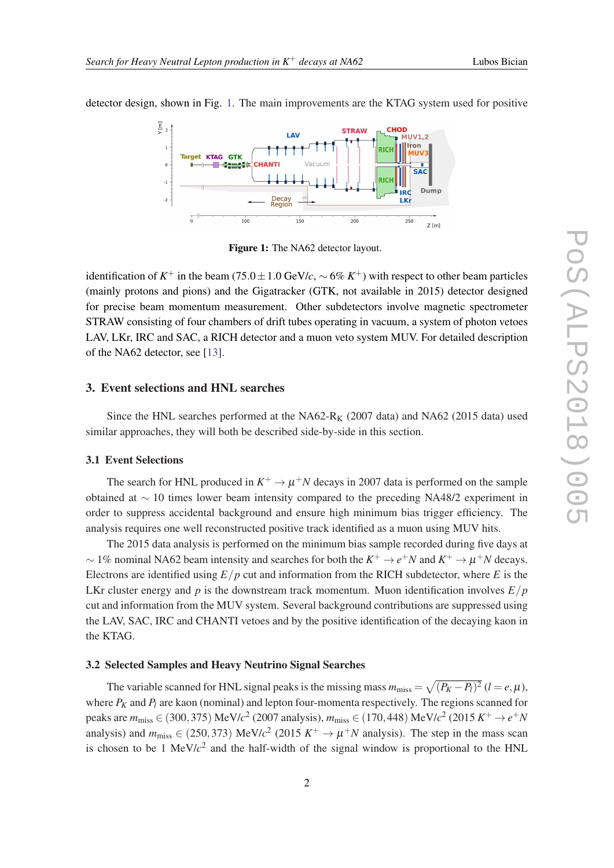detector design, shown in Fig. 1. The main improvements are the KTAG system used for positive



Figure 1: The NA62 detector layout.

identification of  $K^+$  in the beam (75.0 ± 1.0 GeV/*c*,  $\sim$  6%  $K^+$ ) with respect to other beam particles (mainly protons and pions) and the Gigatracker (GTK, not available in 2015) detector designed for precise beam momentum measurement. Other subdetectors involve magnetic spectrometer STRAW consisting of four chambers of drift tubes operating in vacuum, a system of photon vetoes LAV, LKr, IRC and SAC, a RICH detector and a muon veto system MUV. For detailed description of the NA62 detector, see [[13\]](#page-4-0).

# 3. Event selections and HNL searches

Since the HNL searches performed at the NA62- $R_K$  (2007 data) and NA62 (2015 data) used similar approaches, they will both be described side-by-side in this section.

### 3.1 Event Selections

The search for HNL produced in  $K^+ \to \mu^+ N$  decays in 2007 data is performed on the sample obtained at ∼ 10 times lower beam intensity compared to the preceding NA48/2 experiment in order to suppress accidental background and ensure high minimum bias trigger efficiency. The analysis requires one well reconstructed positive track identified as a muon using MUV hits.

The 2015 data analysis is performed on the minimum bias sample recorded during five days at  $\sim$  1% nominal NA62 beam intensity and searches for both the  $K^+ \to e^+ N$  and  $K^+ \to \mu^+ N$  decays. Electrons are identified using  $E/p$  cut and information from the RICH subdetector, where  $E$  is the LKr cluster energy and  $p$  is the downstream track momentum. Muon identification involves  $E/p$ cut and information from the MUV system. Several background contributions are suppressed using the LAV, SAC, IRC and CHANTI vetoes and by the positive identification of the decaying kaon in the KTAG.

# 3.2 Selected Samples and Heavy Neutrino Signal Searches

The variable scanned for HNL signal peaks is the missing mass  $m_{\text{miss}} = \sqrt{(P_K - P_l)^2} (l = e, \mu)$ , where  $P_K$  and  $P_l$  are kaon (nominal) and lepton four-momenta respectively. The regions scanned for peaks are  $m_{\rm miss} \in (300, 375)$  MeV/ $c^2$  (2007 analysis),  $m_{\rm miss} \in (170, 448)$  MeV/ $c^2$  (2015  $K^+ \to e^+ N$ analysis) and  $m_{\text{miss}} \in (250, 373) \text{ MeV}/c^2$  (2015  $K^+ \to \mu^+ N$  analysis). The step in the mass scan is chosen to be 1 MeV/*c* 2 and the half-width of the signal window is proportional to the HNL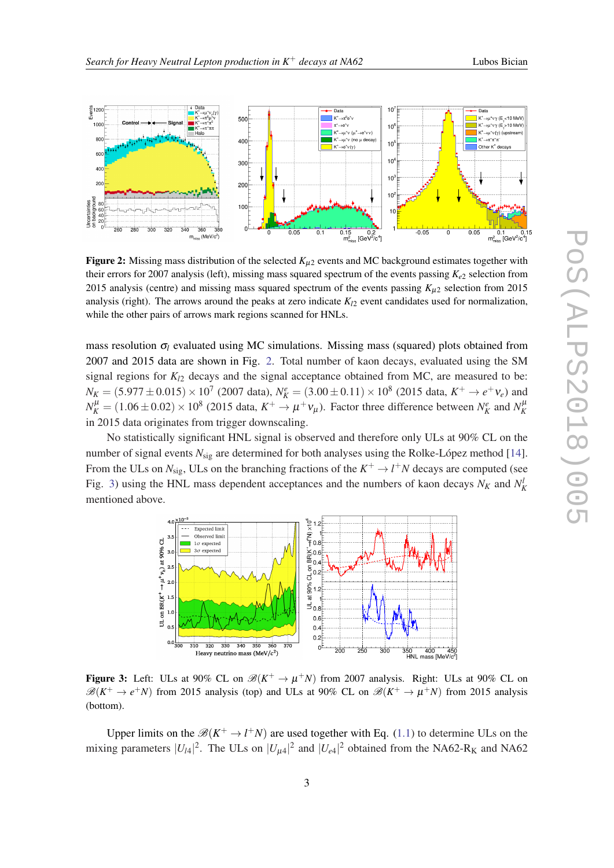

**Figure 2:** Missing mass distribution of the selected  $K_{\mu2}$  events and MC background estimates together with their errors for 2007 analysis (left), missing mass squared spectrum of the events passing  $K_{e2}$  selection from 2015 analysis (centre) and missing mass squared spectrum of the events passing *K*µ<sup>2</sup> selection from 2015 analysis (right). The arrows around the peaks at zero indicate  $K_{12}$  event candidates used for normalization, while the other pairs of arrows mark regions scanned for HNLs.

mass resolution  $\sigma_l$  evaluated using MC simulations. Missing mass (squared) plots obtained from 2007 and 2015 data are shown in Fig. 2. Total number of kaon decays, evaluated using the SM signal regions for  $K_{12}$  decays and the signal acceptance obtained from MC, are measured to be:  $N_K = (5.977 \pm 0.015) \times 10^7$  (2007 data),  $N_K^e = (3.00 \pm 0.11) \times 10^8$  (2015 data,  $K^+ \to e^+ \nu_e$ ) and  $N_K^{\mu} = (1.06 \pm 0.02) \times 10^8$  (2015 data,  $K^+ \to \mu^+ \nu_\mu$ ). Factor three difference between  $N_K^e$  and  $N_K^{\mu}$ in 2015 data originates from trigger downscaling.

No statistically significant HNL signal is observed and therefore only ULs at 90% CL on the number of signal events  $N_{\text{sig}}$  are determined for both analyses using the Rolke-López method [[14\]](#page-4-0). From the ULs on  $N_{\text{sig}}$ , ULs on the branching fractions of the  $K^+ \to l^+N$  decays are computed (see Fig. 3) using the HNL mass dependent acceptances and the numbers of kaon decays  $N_K$  and  $N_K^l$ mentioned above.



**Figure 3:** Left: ULs at 90% CL on  $\mathcal{B}(K^+ \to \mu^+ N)$  from 2007 analysis. Right: ULs at 90% CL on  $\mathscr{B}(K^+ \to e^+N)$  from 2015 analysis (top) and ULs at 90% CL on  $\mathscr{B}(K^+ \to \mu^+N)$  from 2015 analysis (bottom).

Upper limits on the  $\mathcal{B}(K^+ \to l^+N)$  are used together with Eq. ([1.1\)](#page-1-0) to determine ULs on the mixing parameters  $|U_{l4}|^2$ . The ULs on  $|U_{\mu 4}|^2$  and  $|U_{e4}|^2$  obtained from the NA62-R<sub>K</sub> and NA62